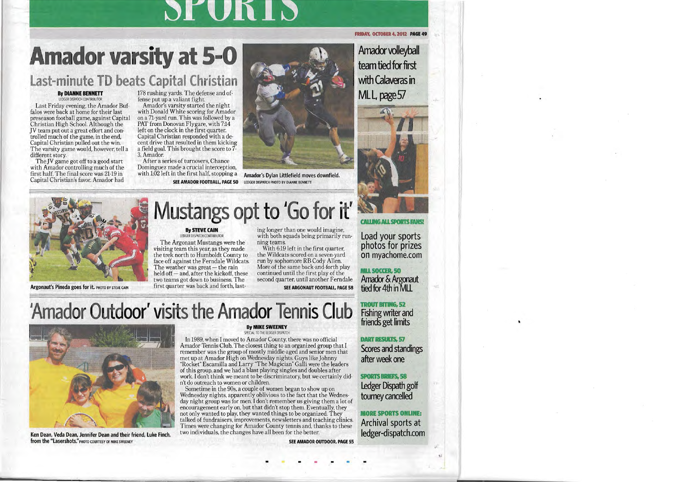$\overline{a}$ 

.**Rshing writer and** , **friends getlimits** ..

T<sub>I</sub>

 $\blacksquare$ 

**after week one** 

 $\boldsymbol{s}$ 

**LedgerDispath goW t** 

 $\blacksquare$ **Archival sports at le** 

•

**Scores and standings** .

## 'Amador Outdoor' visits the Amador Tennis Club

first quarter was back and forth, last-



**Ken Dean, Veda Dean, Jennifer Dean and their friend, luke Finch, from the "Lasershots."** PHOTO COURTESY OF MIKE SWEENEY

## **By MIKE SWEENEY**

SPECIAL TO THE LEDGER DISPATCH

In 1989, when I moved to Amador County, there was no official Amador Tennis Club. The closest thing to an organized group that I remember was the group of mostly middle-aged and senior men that met up at Amador High on Wednesday nights. Guys like Johnny "Rocket" Escamilla and Larry "The Magician" Galli were the leaders of this group, and we had a blast playing singles and doubles after work. I don't think we meant to be discriminatory, but we certainly didn't do outreach to women or children.

Sometime in the 90s, a couple of women began to show up on Wednesday nights, apparently oblivious to the fact that the Wednesday night group was for men. I don't remember us giving them a lot of encouragement early on, but that didn't stop them. Eventually, they not only wanted to play, they wanted things to be organized. They talked of fundraisers, improvements, newsletters and teaching clinics. Times were changing for Amador County tennis and, thanks to these two individuals, the changes have all been for the better.

**SEE AMADOR OUTDOOR, PAGE 55** 

-  $\bullet$  -  $\bullet$   $\bullet$   $\bullet$